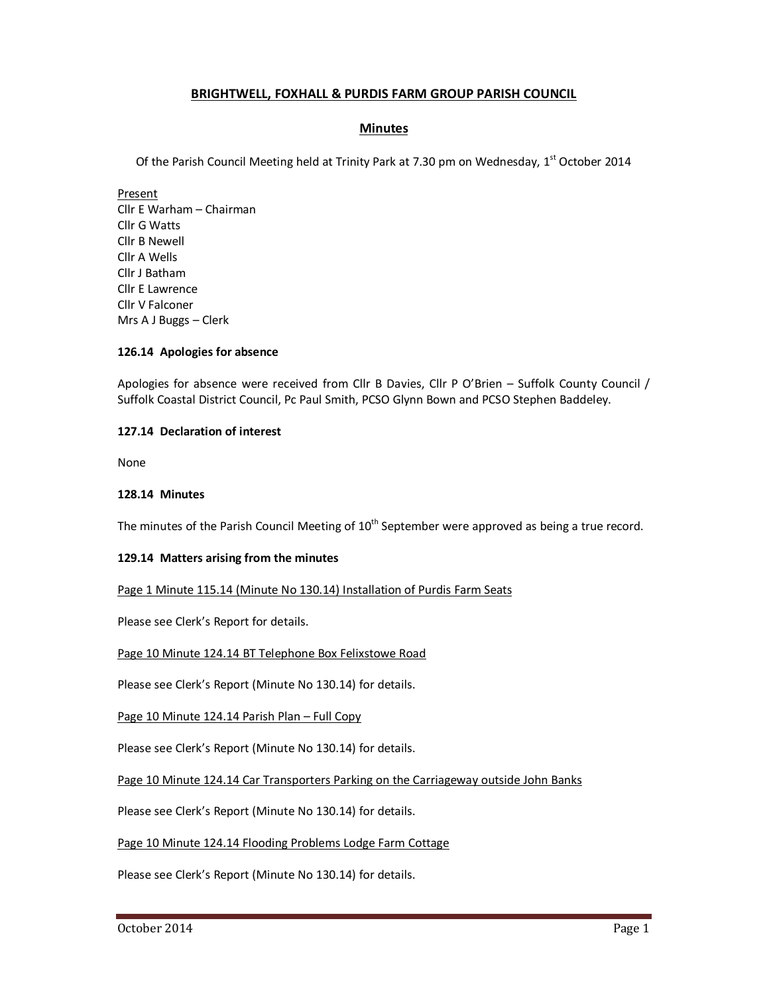# **BRIGHTWELL, FOXHALL & PURDIS FARM GROUP PARISH COUNCIL**

# **Minutes**

Of the Parish Council Meeting held at Trinity Park at 7.30 pm on Wednesday,  $1<sup>st</sup>$  October 2014

Present Cllr E Warham – Chairman Cllr G Watts Cllr B Newell Cllr A Wells Cllr J Batham Cllr E Lawrence Cllr V Falconer Mrs A J Buggs – Clerk

### **126.14 Apologies for absence**

Apologies for absence were received from Cllr B Davies, Cllr P O'Brien – Suffolk County Council / Suffolk Coastal District Council, Pc Paul Smith, PCSO Glynn Bown and PCSO Stephen Baddeley.

## **127.14 Declaration of interest**

None

#### **128.14 Minutes**

The minutes of the Parish Council Meeting of  $10<sup>th</sup>$  September were approved as being a true record.

### **129.14 Matters arising from the minutes**

Page 1 Minute 115.14 (Minute No 130.14) Installation of Purdis Farm Seats

Please see Clerk's Report for details.

Page 10 Minute 124.14 BT Telephone Box Felixstowe Road

Please see Clerk's Report (Minute No 130.14) for details.

Page 10 Minute 124.14 Parish Plan – Full Copy

Please see Clerk's Report (Minute No 130.14) for details.

Page 10 Minute 124.14 Car Transporters Parking on the Carriageway outside John Banks

Please see Clerk's Report (Minute No 130.14) for details.

Page 10 Minute 124.14 Flooding Problems Lodge Farm Cottage

Please see Clerk's Report (Minute No 130.14) for details.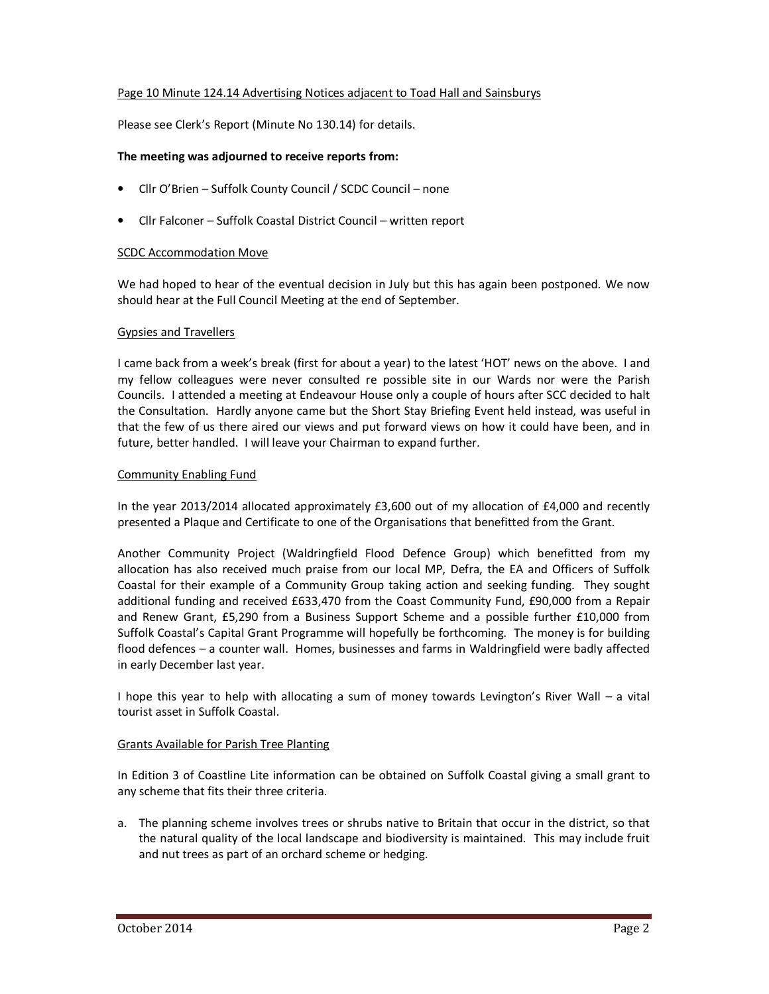## Page 10 Minute 124.14 Advertising Notices adjacent to Toad Hall and Sainsburys

Please see Clerk's Report (Minute No 130.14) for details.

### **The meeting was adjourned to receive reports from:**

- Cllr O'Brien Suffolk County Council / SCDC Council none
- Cllr Falconer Suffolk Coastal District Council written report

## SCDC Accommodation Move

We had hoped to hear of the eventual decision in July but this has again been postponed. We now should hear at the Full Council Meeting at the end of September.

## Gypsies and Travellers

I came back from a week's break (first for about a year) to the latest 'HOT' news on the above. I and my fellow colleagues were never consulted re possible site in our Wards nor were the Parish Councils. I attended a meeting at Endeavour House only a couple of hours after SCC decided to halt the Consultation. Hardly anyone came but the Short Stay Briefing Event held instead, was useful in that the few of us there aired our views and put forward views on how it could have been, and in future, better handled. I will leave your Chairman to expand further.

## Community Enabling Fund

In the year 2013/2014 allocated approximately £3,600 out of my allocation of £4,000 and recently presented a Plaque and Certificate to one of the Organisations that benefitted from the Grant.

Another Community Project (Waldringfield Flood Defence Group) which benefitted from my allocation has also received much praise from our local MP, Defra, the EA and Officers of Suffolk Coastal for their example of a Community Group taking action and seeking funding. They sought additional funding and received £633,470 from the Coast Community Fund, £90,000 from a Repair and Renew Grant, £5,290 from a Business Support Scheme and a possible further £10,000 from Suffolk Coastal's Capital Grant Programme will hopefully be forthcoming. The money is for building flood defences – a counter wall. Homes, businesses and farms in Waldringfield were badly affected in early December last year.

I hope this year to help with allocating a sum of money towards Levington's River Wall – a vital tourist asset in Suffolk Coastal.

### Grants Available for Parish Tree Planting

In Edition 3 of Coastline Lite information can be obtained on Suffolk Coastal giving a small grant to any scheme that fits their three criteria.

a. The planning scheme involves trees or shrubs native to Britain that occur in the district, so that the natural quality of the local landscape and biodiversity is maintained. This may include fruit and nut trees as part of an orchard scheme or hedging.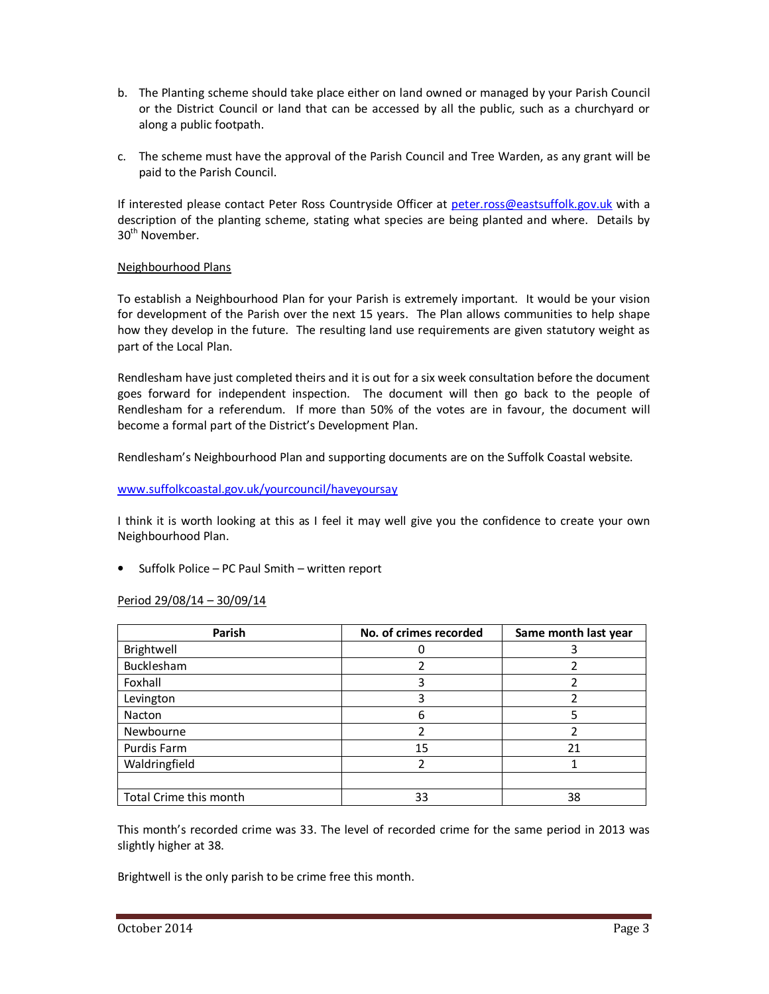- b. The Planting scheme should take place either on land owned or managed by your Parish Council or the District Council or land that can be accessed by all the public, such as a churchyard or along a public footpath.
- c. The scheme must have the approval of the Parish Council and Tree Warden, as any grant will be paid to the Parish Council.

If interested please contact Peter Ross Countryside Officer at peter.ross@eastsuffolk.gov.uk with a description of the planting scheme, stating what species are being planted and where. Details by 30<sup>th</sup> November.

# Neighbourhood Plans

To establish a Neighbourhood Plan for your Parish is extremely important. It would be your vision for development of the Parish over the next 15 years. The Plan allows communities to help shape how they develop in the future. The resulting land use requirements are given statutory weight as part of the Local Plan.

Rendlesham have just completed theirs and it is out for a six week consultation before the document goes forward for independent inspection. The document will then go back to the people of Rendlesham for a referendum. If more than 50% of the votes are in favour, the document will become a formal part of the District's Development Plan.

Rendlesham's Neighbourhood Plan and supporting documents are on the Suffolk Coastal website.

## www.suffolkcoastal.gov.uk/yourcouncil/haveyoursay

I think it is worth looking at this as I feel it may well give you the confidence to create your own Neighbourhood Plan.

• Suffolk Police – PC Paul Smith – written report

### Period 29/08/14 – 30/09/14

| Parish                 | No. of crimes recorded | Same month last year |
|------------------------|------------------------|----------------------|
| Brightwell             |                        |                      |
| Bucklesham             |                        |                      |
| Foxhall                |                        |                      |
| Levington              |                        |                      |
| Nacton                 | 6                      |                      |
| Newbourne              |                        |                      |
| Purdis Farm            | 15                     | 21                   |
| Waldringfield          |                        |                      |
|                        |                        |                      |
| Total Crime this month | 33                     | 38                   |

This month's recorded crime was 33. The level of recorded crime for the same period in 2013 was slightly higher at 38.

Brightwell is the only parish to be crime free this month.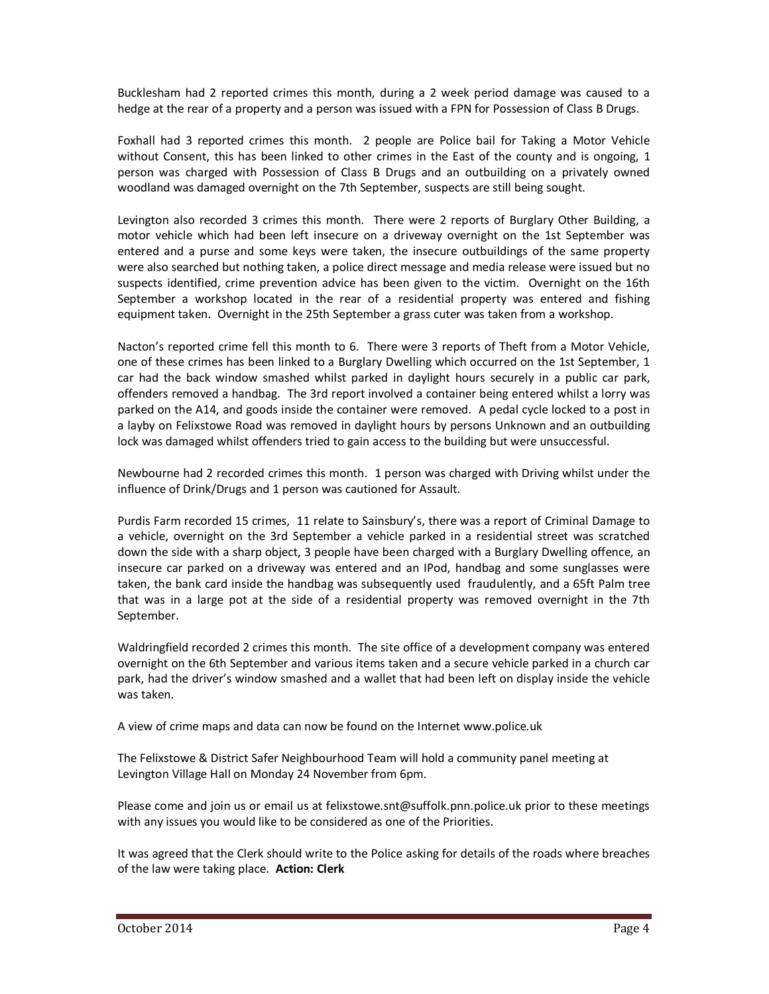Bucklesham had 2 reported crimes this month, during a 2 week period damage was caused to a hedge at the rear of a property and a person was issued with a FPN for Possession of Class B Drugs.

Foxhall had 3 reported crimes this month. 2 people are Police bail for Taking a Motor Vehicle without Consent, this has been linked to other crimes in the East of the county and is ongoing, 1 person was charged with Possession of Class B Drugs and an outbuilding on a privately owned woodland was damaged overnight on the 7th September, suspects are still being sought.

Levington also recorded 3 crimes this month. There were 2 reports of Burglary Other Building, a motor vehicle which had been left insecure on a driveway overnight on the 1st September was entered and a purse and some keys were taken, the insecure outbuildings of the same property were also searched but nothing taken, a police direct message and media release were issued but no suspects identified, crime prevention advice has been given to the victim. Overnight on the 16th September a workshop located in the rear of a residential property was entered and fishing equipment taken. Overnight in the 25th September a grass cuter was taken from a workshop.

Nacton's reported crime fell this month to 6. There were 3 reports of Theft from a Motor Vehicle, one of these crimes has been linked to a Burglary Dwelling which occurred on the 1st September, 1 car had the back window smashed whilst parked in daylight hours securely in a public car park, offenders removed a handbag. The 3rd report involved a container being entered whilst a lorry was parked on the A14, and goods inside the container were removed. A pedal cycle locked to a post in a layby on Felixstowe Road was removed in daylight hours by persons Unknown and an outbuilding lock was damaged whilst offenders tried to gain access to the building but were unsuccessful.

Newbourne had 2 recorded crimes this month. 1 person was charged with Driving whilst under the influence of Drink/Drugs and 1 person was cautioned for Assault.

Purdis Farm recorded 15 crimes, 11 relate to Sainsbury's, there was a report of Criminal Damage to a vehicle, overnight on the 3rd September a vehicle parked in a residential street was scratched down the side with a sharp object, 3 people have been charged with a Burglary Dwelling offence, an insecure car parked on a driveway was entered and an IPod, handbag and some sunglasses were taken, the bank card inside the handbag was subsequently used fraudulently, and a 65ft Palm tree that was in a large pot at the side of a residential property was removed overnight in the 7th September.

Waldringfield recorded 2 crimes this month. The site office of a development company was entered overnight on the 6th September and various items taken and a secure vehicle parked in a church car park, had the driver's window smashed and a wallet that had been left on display inside the vehicle was taken.

A view of crime maps and data can now be found on the Internet www.police.uk

The Felixstowe & District Safer Neighbourhood Team will hold a community panel meeting at Levington Village Hall on Monday 24 November from 6pm.

Please come and join us or email us at felixstowe.snt@suffolk.pnn.police.uk prior to these meetings with any issues you would like to be considered as one of the Priorities.

It was agreed that the Clerk should write to the Police asking for details of the roads where breaches of the law were taking place. **Action: Clerk**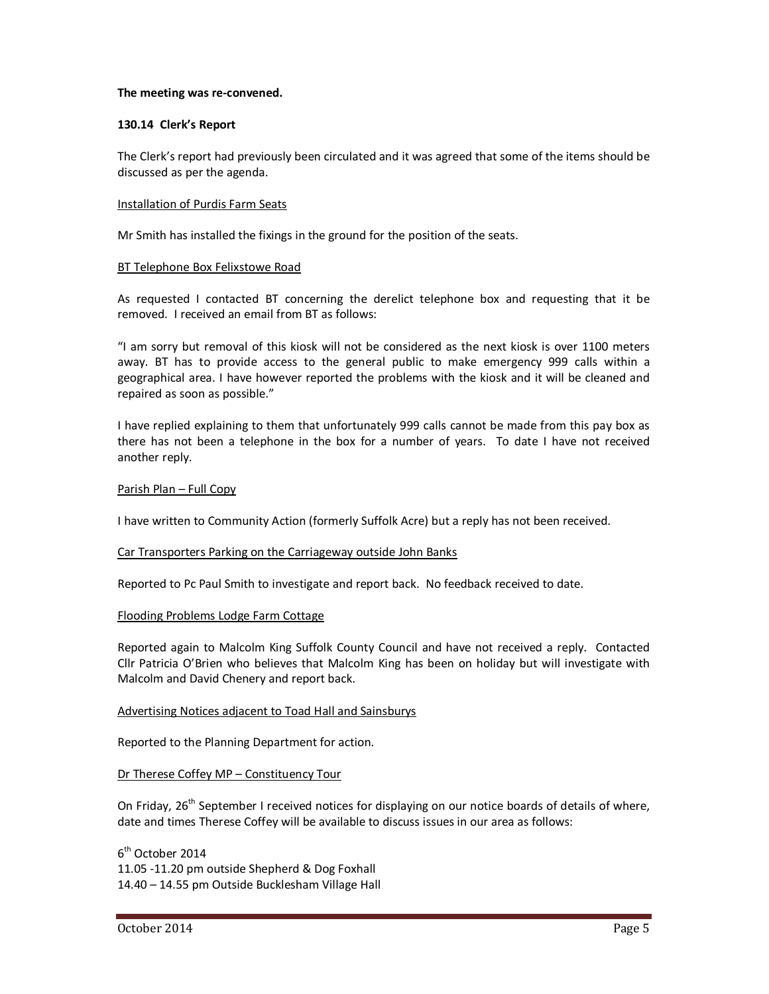#### **The meeting was re-convened.**

#### **130.14 Clerk's Report**

The Clerk's report had previously been circulated and it was agreed that some of the items should be discussed as per the agenda.

#### Installation of Purdis Farm Seats

Mr Smith has installed the fixings in the ground for the position of the seats.

#### BT Telephone Box Felixstowe Road

As requested I contacted BT concerning the derelict telephone box and requesting that it be removed. I received an email from BT as follows:

"I am sorry but removal of this kiosk will not be considered as the next kiosk is over 1100 meters away. BT has to provide access to the general public to make emergency 999 calls within a geographical area. I have however reported the problems with the kiosk and it will be cleaned and repaired as soon as possible."

I have replied explaining to them that unfortunately 999 calls cannot be made from this pay box as there has not been a telephone in the box for a number of years. To date I have not received another reply.

#### Parish Plan – Full Copy

I have written to Community Action (formerly Suffolk Acre) but a reply has not been received.

### Car Transporters Parking on the Carriageway outside John Banks

Reported to Pc Paul Smith to investigate and report back. No feedback received to date.

#### Flooding Problems Lodge Farm Cottage

Reported again to Malcolm King Suffolk County Council and have not received a reply. Contacted Cllr Patricia O'Brien who believes that Malcolm King has been on holiday but will investigate with Malcolm and David Chenery and report back.

### Advertising Notices adjacent to Toad Hall and Sainsburys

Reported to the Planning Department for action.

### Dr Therese Coffey MP – Constituency Tour

On Friday,  $26<sup>th</sup>$  September I received notices for displaying on our notice boards of details of where, date and times Therese Coffey will be available to discuss issues in our area as follows:

6<sup>th</sup> October 2014 11.05 -11.20 pm outside Shepherd & Dog Foxhall 14.40 – 14.55 pm Outside Bucklesham Village Hall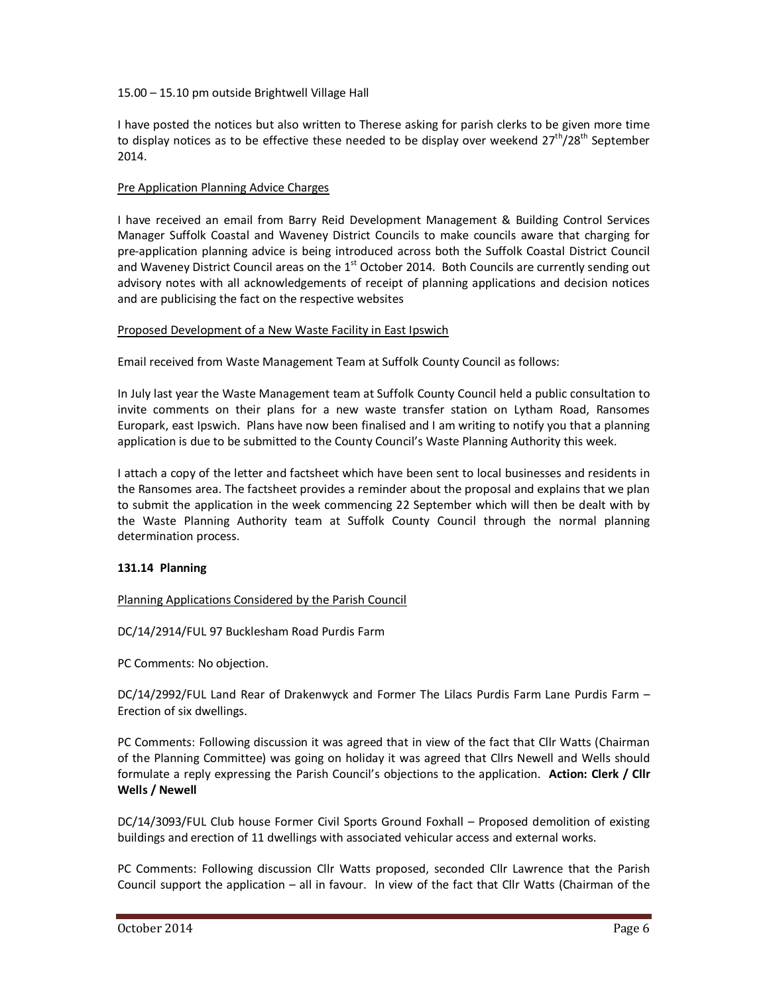## 15.00 – 15.10 pm outside Brightwell Village Hall

I have posted the notices but also written to Therese asking for parish clerks to be given more time to display notices as to be effective these needed to be display over weekend  $27<sup>th</sup>/28<sup>th</sup>$  September 2014.

## Pre Application Planning Advice Charges

I have received an email from Barry Reid Development Management & Building Control Services Manager Suffolk Coastal and Waveney District Councils to make councils aware that charging for pre-application planning advice is being introduced across both the Suffolk Coastal District Council and Waveney District Council areas on the  $1<sup>st</sup>$  October 2014. Both Councils are currently sending out advisory notes with all acknowledgements of receipt of planning applications and decision notices and are publicising the fact on the respective websites

## Proposed Development of a New Waste Facility in East Ipswich

Email received from Waste Management Team at Suffolk County Council as follows:

In July last year the Waste Management team at Suffolk County Council held a public consultation to invite comments on their plans for a new waste transfer station on Lytham Road, Ransomes Europark, east Ipswich. Plans have now been finalised and I am writing to notify you that a planning application is due to be submitted to the County Council's Waste Planning Authority this week.

I attach a copy of the letter and factsheet which have been sent to local businesses and residents in the Ransomes area. The factsheet provides a reminder about the proposal and explains that we plan to submit the application in the week commencing 22 September which will then be dealt with by the Waste Planning Authority team at Suffolk County Council through the normal planning determination process.

# **131.14 Planning**

### Planning Applications Considered by the Parish Council

DC/14/2914/FUL 97 Bucklesham Road Purdis Farm

PC Comments: No objection.

DC/14/2992/FUL Land Rear of Drakenwyck and Former The Lilacs Purdis Farm Lane Purdis Farm – Erection of six dwellings.

PC Comments: Following discussion it was agreed that in view of the fact that Cllr Watts (Chairman of the Planning Committee) was going on holiday it was agreed that Cllrs Newell and Wells should formulate a reply expressing the Parish Council's objections to the application. **Action: Clerk / Cllr Wells / Newell**

DC/14/3093/FUL Club house Former Civil Sports Ground Foxhall – Proposed demolition of existing buildings and erection of 11 dwellings with associated vehicular access and external works.

PC Comments: Following discussion Cllr Watts proposed, seconded Cllr Lawrence that the Parish Council support the application – all in favour. In view of the fact that Cllr Watts (Chairman of the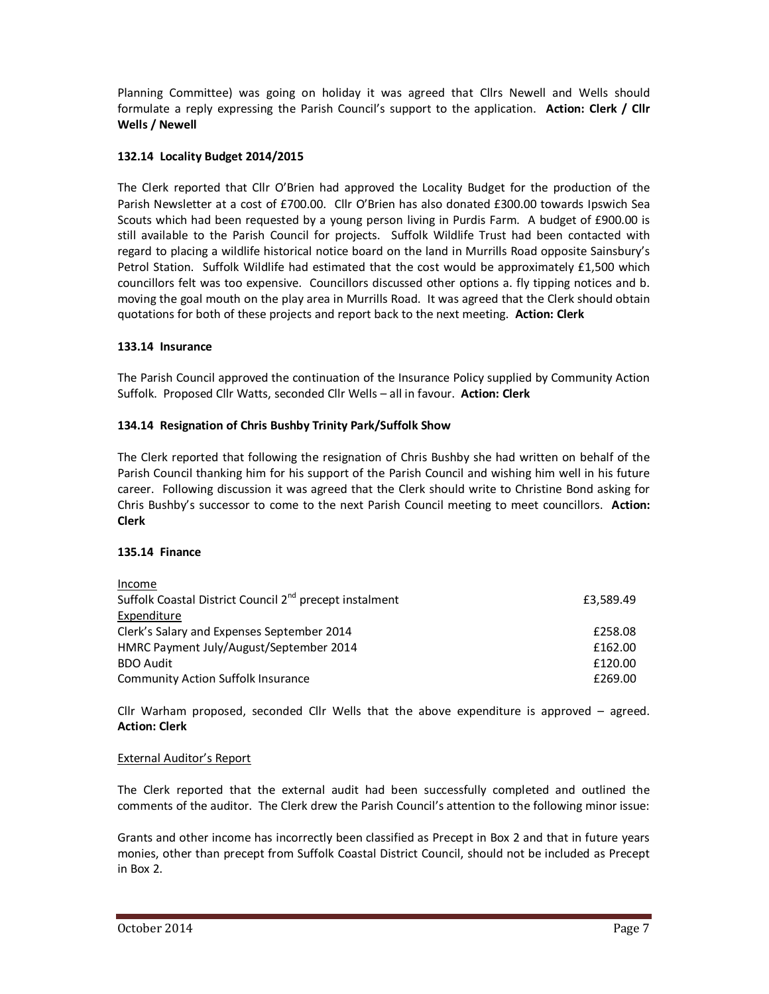Planning Committee) was going on holiday it was agreed that Cllrs Newell and Wells should formulate a reply expressing the Parish Council's support to the application. **Action: Clerk / Cllr Wells / Newell**

# **132.14 Locality Budget 2014/2015**

The Clerk reported that Cllr O'Brien had approved the Locality Budget for the production of the Parish Newsletter at a cost of £700.00. Cllr O'Brien has also donated £300.00 towards Ipswich Sea Scouts which had been requested by a young person living in Purdis Farm. A budget of £900.00 is still available to the Parish Council for projects. Suffolk Wildlife Trust had been contacted with regard to placing a wildlife historical notice board on the land in Murrills Road opposite Sainsbury's Petrol Station. Suffolk Wildlife had estimated that the cost would be approximately £1,500 which councillors felt was too expensive. Councillors discussed other options a. fly tipping notices and b. moving the goal mouth on the play area in Murrills Road. It was agreed that the Clerk should obtain quotations for both of these projects and report back to the next meeting. **Action: Clerk**

# **133.14 Insurance**

The Parish Council approved the continuation of the Insurance Policy supplied by Community Action Suffolk. Proposed Cllr Watts, seconded Cllr Wells – all in favour. **Action: Clerk** 

# **134.14 Resignation of Chris Bushby Trinity Park/Suffolk Show**

The Clerk reported that following the resignation of Chris Bushby she had written on behalf of the Parish Council thanking him for his support of the Parish Council and wishing him well in his future career. Following discussion it was agreed that the Clerk should write to Christine Bond asking for Chris Bushby's successor to come to the next Parish Council meeting to meet councillors. **Action: Clerk** 

# **135.14 Finance**

| Income                                                              |           |
|---------------------------------------------------------------------|-----------|
| Suffolk Coastal District Council 2 <sup>nd</sup> precept instalment | £3.589.49 |
| Expenditure                                                         |           |
| Clerk's Salary and Expenses September 2014                          | £258.08   |
| HMRC Payment July/August/September 2014                             | £162.00   |
| <b>BDO Audit</b>                                                    | £120.00   |
| <b>Community Action Suffolk Insurance</b>                           | £269.00   |

Cllr Warham proposed, seconded Cllr Wells that the above expenditure is approved – agreed. **Action: Clerk** 

# External Auditor's Report

The Clerk reported that the external audit had been successfully completed and outlined the comments of the auditor. The Clerk drew the Parish Council's attention to the following minor issue:

Grants and other income has incorrectly been classified as Precept in Box 2 and that in future years monies, other than precept from Suffolk Coastal District Council, should not be included as Precept in Box 2.